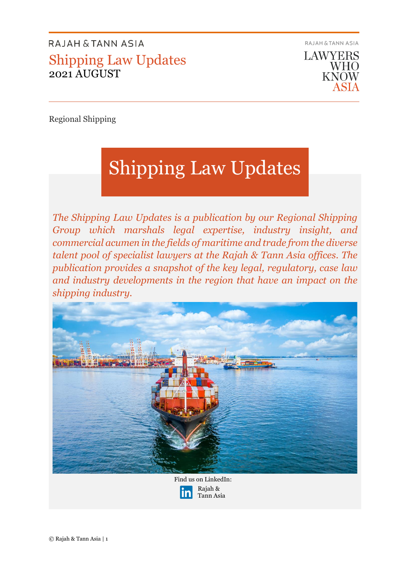

Regional Shipping

# Shipping Law Updates

*The Shipping Law Updates is a publication by our Regional Shipping Group which marshals legal expertise, industry insight, and commercial acumen in the fields of maritime and trade from the diverse talent pool of specialist lawyers at the Rajah & Tann Asia offices. The publication provides a snapshot of the key legal, regulatory, case law and industry developments in the region that have an impact on the shipping industry.* 



Find us on LinkedIn: Rajah & Tann Asia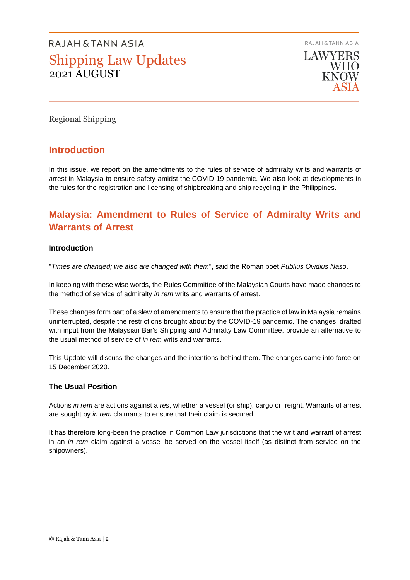RAJAH & TANN ASIA



Regional Shipping

### **Introduction**

In this issue, we report on the amendments to the rules of service of admiralty writs and warrants of arrest in Malaysia to ensure safety amidst the COVID-19 pandemic. We also look at developments in the rules for the registration and licensing of shipbreaking and ship recycling in the Philippines.

### **Malaysia: Amendment to Rules of Service of Admiralty Writs and Warrants of Arrest**

#### **Introduction**

"*Times are changed; we also are changed with them*", said the Roman poet *Publius Ovidius Naso*.

In keeping with these wise words, the Rules Committee of the Malaysian Courts have made changes to the method of service of admiralty *in rem* writs and warrants of arrest.

These changes form part of a slew of amendments to ensure that the practice of law in Malaysia remains uninterrupted, despite the restrictions brought about by the COVID-19 pandemic. The changes, drafted with input from the Malaysian Bar's Shipping and Admiralty Law Committee, provide an alternative to the usual method of service of *in rem* writs and warrants.

This Update will discuss the changes and the intentions behind them. The changes came into force on 15 December 2020.

#### **The Usual Position**

Actions *in rem* are actions against a *res*, whether a vessel (or ship), cargo or freight. Warrants of arrest are sought by *in rem* claimants to ensure that their claim is secured.

It has therefore long-been the practice in Common Law jurisdictions that the writ and warrant of arrest in an *in rem* claim against a vessel be served on the vessel itself (as distinct from service on the shipowners).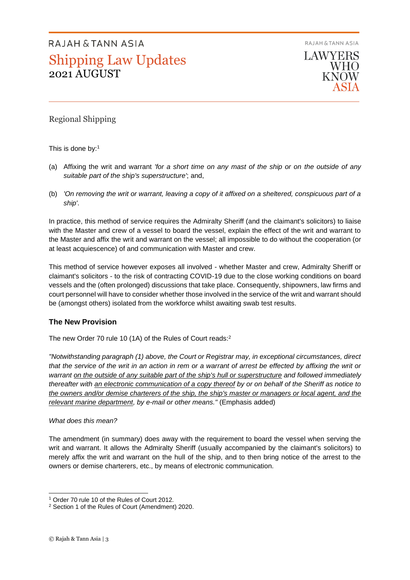RAJAH & TANN ASIA



Regional Shipping

This is done by:<sup>1</sup>

- (a) Affixing the writ and warrant *'for a short time on any mast of the ship or on the outside of any suitable part of the ship's superstructure'*; and,
- (b) *'On removing the writ or warrant, leaving a copy of it affixed on a sheltered, conspicuous part of a ship'*.

In practice, this method of service requires the Admiralty Sheriff (and the claimant's solicitors) to liaise with the Master and crew of a vessel to board the vessel, explain the effect of the writ and warrant to the Master and affix the writ and warrant on the vessel; all impossible to do without the cooperation (or at least acquiescence) of and communication with Master and crew.

This method of service however exposes all involved - whether Master and crew, Admiralty Sheriff or claimant's solicitors - to the risk of contracting COVID-19 due to the close working conditions on board vessels and the (often prolonged) discussions that take place. Consequently, shipowners, law firms and court personnel will have to consider whether those involved in the service of the writ and warrant should be (amongst others) isolated from the workforce whilst awaiting swab test results.

#### **The New Provision**

The new Order 70 rule 10 (1A) of the Rules of Court reads:<sup>2</sup>

*"Notwithstanding paragraph (1) above, the Court or Registrar may, in exceptional circumstances, direct that the service of the writ in an action in rem or a warrant of arrest be effected by affixing the writ or warrant on the outside of any suitable part of the ship's hull or superstructure and followed immediately thereafter with an electronic communication of a copy thereof by or on behalf of the Sheriff as notice to the owners and/or demise charterers of the ship, the ship's master or managers or local agent, and the relevant marine department, by e-mail or other means."* (Emphasis added)

#### *What does this mean?*

The amendment (in summary) does away with the requirement to board the vessel when serving the writ and warrant. It allows the Admiralty Sheriff (usually accompanied by the claimant's solicitors) to merely affix the writ and warrant on the hull of the ship, and to then bring notice of the arrest to the owners or demise charterers, etc., by means of electronic communication.

<sup>1</sup> Order 70 rule 10 of the Rules of Court 2012.

<sup>2</sup> Section 1 of the Rules of Court (Amendment) 2020.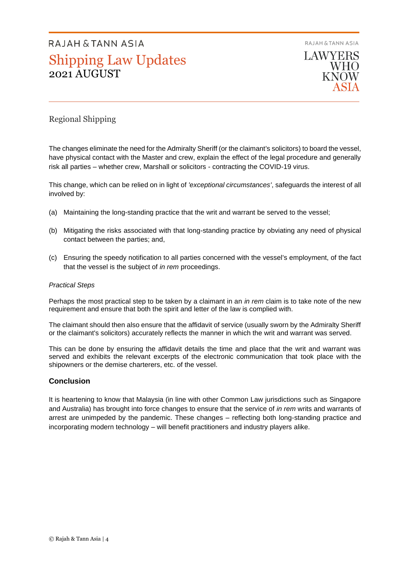RAJAH & TANN ASIA



#### Regional Shipping

The changes eliminate the need for the Admiralty Sheriff (or the claimant's solicitors) to board the vessel, have physical contact with the Master and crew, explain the effect of the legal procedure and generally risk all parties – whether crew, Marshall or solicitors - contracting the COVID-19 virus.

This change, which can be relied on in light of *'exceptional circumstances'*, safeguards the interest of all involved by:

- (a) Maintaining the long-standing practice that the writ and warrant be served to the vessel;
- (b) Mitigating the risks associated with that long-standing practice by obviating any need of physical contact between the parties; and,
- (c) Ensuring the speedy notification to all parties concerned with the vessel's employment, of the fact that the vessel is the subject of *in rem* proceedings.

#### *Practical Steps*

Perhaps the most practical step to be taken by a claimant in an *in rem* claim is to take note of the new requirement and ensure that both the spirit and letter of the law is complied with.

The claimant should then also ensure that the affidavit of service (usually sworn by the Admiralty Sheriff or the claimant's solicitors) accurately reflects the manner in which the writ and warrant was served.

This can be done by ensuring the affidavit details the time and place that the writ and warrant was served and exhibits the relevant excerpts of the electronic communication that took place with the shipowners or the demise charterers, etc. of the vessel.

#### **Conclusion**

It is heartening to know that Malaysia (in line with other Common Law jurisdictions such as Singapore and Australia) has brought into force changes to ensure that the service of *in rem* writs and warrants of arrest are unimpeded by the pandemic. These changes – reflecting both long-standing practice and incorporating modern technology – will benefit practitioners and industry players alike.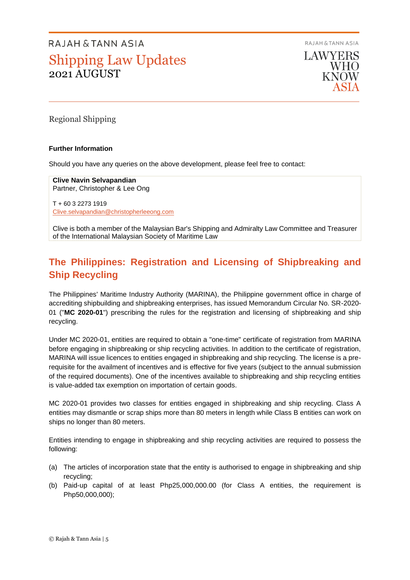RAJAH & TANN ASIA

**LAWYERS** WHO **KNOW** 

Regional Shipping

#### **Further Information**

Should you have any queries on the above development, please feel free to contact:

**Clive Navin Selvapandian** Partner, Christopher & Lee Ong

T + 60 3 2273 1919 [Clive.selvapandian@christopherleeong.com](mailto:Clive.selvapandian@christopherleeong.com)

Clive is both a member of the Malaysian Bar's Shipping and Admiralty Law Committee and Treasurer of the International Malaysian Society of Maritime Law

### **The Philippines: Registration and Licensing of Shipbreaking and Ship Recycling**

The Philippines' Maritime Industry Authority (MARINA), the Philippine government office in charge of accrediting shipbuilding and shipbreaking enterprises, has issued Memorandum Circular No. SR-2020- 01 ("**MC 2020-01**") prescribing the rules for the registration and licensing of shipbreaking and ship recycling.

Under MC 2020-01, entities are required to obtain a "one-time" certificate of registration from MARINA before engaging in shipbreaking or ship recycling activities. In addition to the certificate of registration, MARINA will issue licences to entities engaged in shipbreaking and ship recycling. The license is a prerequisite for the availment of incentives and is effective for five years (subject to the annual submission of the required documents). One of the incentives available to shipbreaking and ship recycling entities is value-added tax exemption on importation of certain goods.

MC 2020-01 provides two classes for entities engaged in shipbreaking and ship recycling. Class A entities may dismantle or scrap ships more than 80 meters in length while Class B entities can work on ships no longer than 80 meters.

Entities intending to engage in shipbreaking and ship recycling activities are required to possess the following:

- (a) The articles of incorporation state that the entity is authorised to engage in shipbreaking and ship recycling;
- (b) Paid-up capital of at least Php25,000,000.00 (for Class A entities, the requirement is Php50,000,000);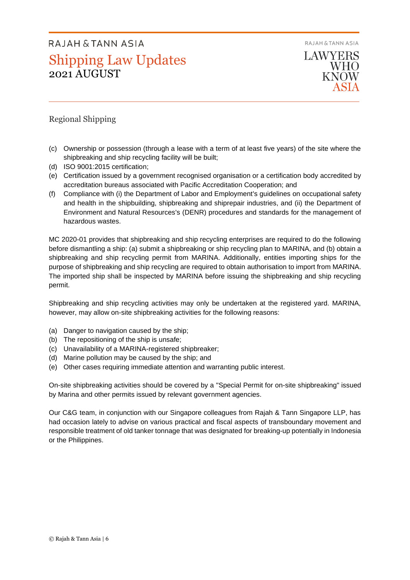RAJAH & TANN ASIA



#### Regional Shipping

- (c) Ownership or possession (through a lease with a term of at least five years) of the site where the shipbreaking and ship recycling facility will be built;
- (d) ISO 9001:2015 certification;
- (e) Certification issued by a government recognised organisation or a certification body accredited by accreditation bureaus associated with Pacific Accreditation Cooperation; and
- (f) Compliance with (i) the Department of Labor and Employment's guidelines on occupational safety and health in the shipbuilding, shipbreaking and shiprepair industries, and (ii) the Department of Environment and Natural Resources's (DENR) procedures and standards for the management of hazardous wastes.

MC 2020-01 provides that shipbreaking and ship recycling enterprises are required to do the following before dismantling a ship: (a) submit a shipbreaking or ship recycling plan to MARINA, and (b) obtain a shipbreaking and ship recycling permit from MARINA. Additionally, entities importing ships for the purpose of shipbreaking and ship recycling are required to obtain authorisation to import from MARINA. The imported ship shall be inspected by MARINA before issuing the shipbreaking and ship recycling permit.

Shipbreaking and ship recycling activities may only be undertaken at the registered yard. MARINA, however, may allow on-site shipbreaking activities for the following reasons:

- (a) Danger to navigation caused by the ship;
- (b) The repositioning of the ship is unsafe;
- (c) Unavailability of a MARINA-registered shipbreaker;
- (d) Marine pollution may be caused by the ship; and
- (e) Other cases requiring immediate attention and warranting public interest.

On-site shipbreaking activities should be covered by a "Special Permit for on-site shipbreaking" issued by Marina and other permits issued by relevant government agencies.

Our C&G team, in conjunction with our Singapore colleagues from Rajah & Tann Singapore LLP, has had occasion lately to advise on various practical and fiscal aspects of transboundary movement and responsible treatment of old tanker tonnage that was designated for breaking-up potentially in Indonesia or the Philippines.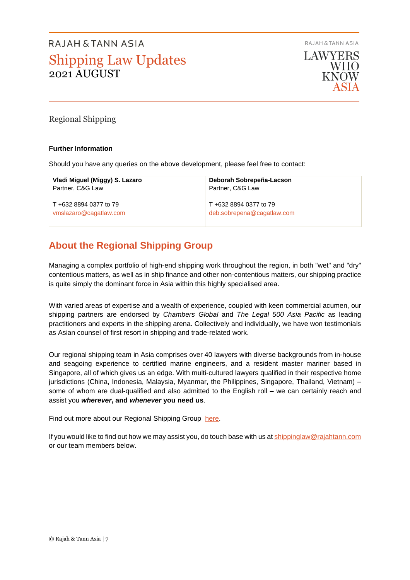RAJAH & TANN ASIA

**LAWYERS WHO KNOW** 

Regional Shipping

#### **Further Information**

Should you have any queries on the above development, please feel free to contact:

| Vladi Miguel (Miggy) S. Lazaro | Deborah Sobrepeña-Lacson   |
|--------------------------------|----------------------------|
| Partner, C&G Law               | Partner, C&G Law           |
| T +632 8894 0377 to 79         | T +632 8894 0377 to 79     |
| vmslazaro@cagatlaw.com         | deb.sobrepena@cagatlaw.com |

### **About the Regional Shipping Group**

Managing a complex portfolio of high-end shipping work throughout the region, in both "wet" and "dry" contentious matters, as well as in ship finance and other non-contentious matters, our shipping practice is quite simply the dominant force in Asia within this highly specialised area.

With varied areas of expertise and a wealth of experience, coupled with keen commercial acumen, our shipping partners are endorsed by *Chambers Global* and *The Legal 500 Asia Pacific* as leading practitioners and experts in the shipping arena. Collectively and individually, we have won testimonials as Asian counsel of first resort in shipping and trade-related work.

Our regional shipping team in Asia comprises over 40 lawyers with diverse backgrounds from in-house and seagoing experience to certified marine engineers, and a resident master mariner based in Singapore, all of which gives us an edge. With multi-cultured lawyers qualified in their respective home jurisdictions (China, Indonesia, Malaysia, Myanmar, the Philippines, Singapore, Thailand, Vietnam) – some of whom are dual-qualified and also admitted to the English roll – we can certainly reach and assist you *wherever***, and** *whenever* **you need us**.

Find out more about our Regional Shipping Group [here.](https://www.rajahtannasia.com/our-practices/shipping-international-trade)

If you would like to find out how we may assist you, do touch base with us at [shippinglaw@rajahtann.com](mailto:shippinglaw@rajahtann.com) or our team members below.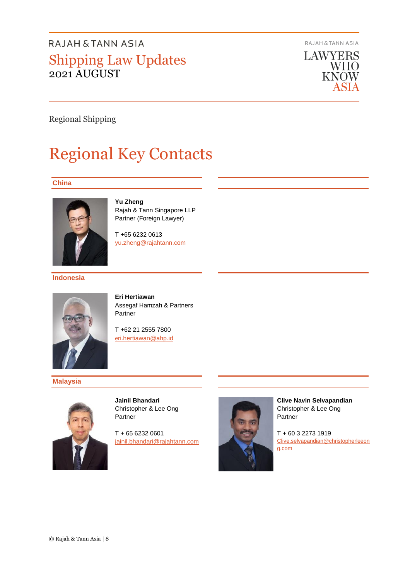RAJAH & TANN ASIA



Regional Shipping

# Regional Key Contacts

#### **China**



**Yu Zheng** Rajah & Tann Singapore LLP Partner (Foreign Lawyer)

T +65 6232 0613 [yu.zheng@rajahtann.com](mailto:yu.zheng@rajahtann.com)

#### **Indonesia**



**Eri Hertiawan** Assegaf Hamzah & Partners Partner

T +62 21 2555 7800 [e](mailto:eri.hertiawan@ahp.id)[ri.hertiawan@ahp.id](mailto:eri.hertiawan@ahp.id) 

**Malaysia**



**Jainil Bhandari** Christopher & Lee Ong Partner

T + 65 6232 0601 [jainil.bhandari@rajahtann.com](mailto:jainil.bhandari@rajahtann.com)



**Clive Navin Selvapandian** Christopher & Lee Ong Partner

T + 60 3 2273 1919 [Clive.selvapandian@christopherleeon](mailto:Clive.selvapandian@christopherleeong.com) [g.com](mailto:Clive.selvapandian@christopherleeong.com)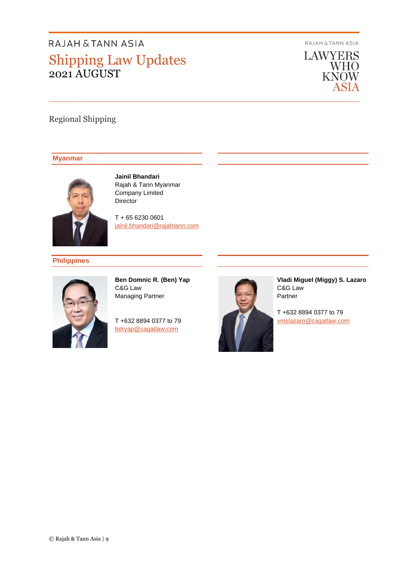RAJAH & TANN ASIA

**LAWYERS** WHO<br>KNOW ASIA

### Regional Shipping

#### **Myanmar**



**Jainil Bhandari** Rajah & Tann Myanmar Company Limited Director

T + 65 6230 0601 [jainil.bhandari@rajahtann.com](mailto:jainil.bhandari@rajahtann.com)

**Philippines**



**Ben Domnic R. (Ben) Yap** C&G Law Managing Partner

T +632 8894 0377 to 79 [bdryap@cagatlaw.com](mailto:bdryap@cagatlaw.com)



**Vladi Miguel (Miggy) S. Lazaro** C&G Law Partner

T +632 8894 0377 to 79 [vmslazaro@cagatlaw.com](mailto:vmslazaro@cagatlaw.com)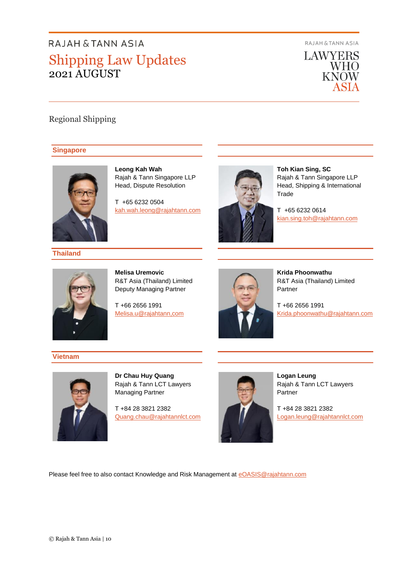RAJAH & TANN ASIA



### Regional Shipping

#### **Singapore**



**Leong Kah Wah** Rajah & Tann Singapore LLP Head, Dispute Resolution

T +65 6232 0504 [kah.wah.leong@rajahtann.com](mailto:kah.wah.leong@rajahtann.com)



**Toh Kian Sing, SC** Rajah & Tann Singapore LLP Head, Shipping & International **Trade** 

T +65 6232 0614 [kian.sing.toh@rajahtann.com](mailto:kian.sing.toh@rajahtann.com)

**Melisa Uremovic** R&T Asia (Thailand) Limited Deputy Managing Partner

T +66 2656 1991 [Melisa.u@rajahtann,com](mailto:Melisa.u@rajahtann,com) 



**Krida Phoonwathu** R&T Asia (Thailand) Limited Partner

T +66 2656 1991 [Krida.phoonwathu@rajahtann.com](mailto:Krida.phoonwathu@rajahtann.com)

#### **Vietnam**

**Thailand**



**Dr Chau Huy Quang**  Rajah & Tann LCT Lawyers Managing Partner

T +84 28 3821 2382 [Quang.chau@rajahtannlct.com](mailto:Quang.chau@rajahtannlct.com)



**Logan Leung** Rajah & Tann LCT Lawyers Partner

T +84 28 3821 2382 Logan.leung@rajahtannlct.com

Please feel free to also contact Knowledge and Risk Management at [eOASIS@rajahtann.com](mailto:eOASIS@rajahtann.com)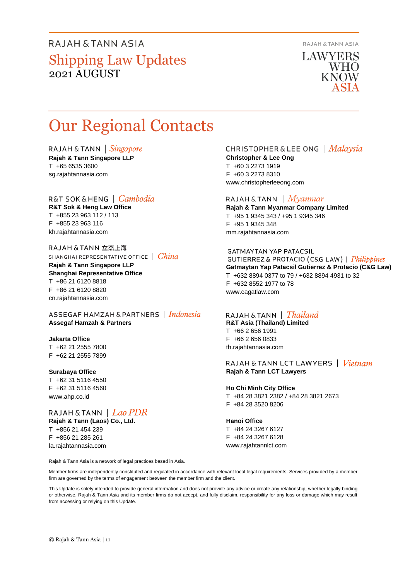RAJAH & TANN ASIA

**LAWYERS WHO** KNOW

# Our Regional Contacts

RAJAH & TANN  $\int$  *Singapore* 

**Rajah & Tann Singapore LLP** T +65 6535 3600 sg.rajahtannasia.com

#### R&T SOK&HENG | *Cambodia*

**R&T Sok & Heng Law Office** T +855 23 963 112 / 113 F +855 23 963 116 kh.rajahtannasia.com

RAJAH & TANN 立杰上海 SHANGHAI REPRESENTATIVE OFFICE | China

**Rajah & Tann Singapore LLP Shanghai Representative Office** T +86 21 6120 8818 F +86 21 6120 8820 cn.rajahtannasia.com

ASSEGAF HAMZAH & PARTNERS | Indonesia **Assegaf Hamzah & Partners**

#### **Jakarta Office**

T +62 21 2555 7800 F +62 21 2555 7899

#### **Surabaya Office**

T +62 31 5116 4550 F +62 31 5116 4560 www.ahp.co.id

RAJAH & TANN | Lao PDR **Rajah & Tann (Laos) Co., Ltd.** T +856 21 454 239 F +856 21 285 261

la.rajahtannasia.com

CHRISTOPHER & LEE ONG | Malaysia

**Christopher & Lee Ong** T +60 3 2273 1919 F +60 3 2273 8310 www.christopherleeong.com

#### RAJAH & TANN  $\mid$  *Myanmar*

**Rajah & Tann Myanmar Company Limited** T +95 1 9345 343 / +95 1 9345 346 F +95 1 9345 348 mm.rajahtannasia.com

#### **GATMAYTAN YAP PATACSIL**

GUTIERREZ & PROTACIO (C&G LAW) | Philippines **Gatmaytan Yap Patacsil Gutierrez & Protacio (C&G Law)**  T +632 8894 0377 to 79 / +632 8894 4931 to 32 F +632 8552 1977 to 78 www.cagatlaw.com

#### RAJAH & TANN  $\parallel$  Thailand

**R&T Asia (Thailand) Limited** T +66 2 656 1991 F +66 2 656 0833 th.rajahtannasia.com

#### RAJAH & TANN LCT LAWYERS | Vietnam **Rajah & Tann LCT Lawyers**

**Ho Chi Minh City Office** T +84 28 3821 2382 / +84 28 3821 2673 F +84 28 3520 8206

#### **Hanoi Office**

T +84 24 3267 6127 F +84 24 3267 6128 www.rajahtannlct.com

Rajah & Tann Asia is a network of legal practices based in Asia.

Member firms are independently constituted and regulated in accordance with relevant local legal requirements. Services provided by a member firm are governed by the terms of engagement between the member firm and the client.

This Update is solely intended to provide general information and does not provide any advice or create any relationship, whether legally binding or otherwise. Rajah & Tann Asia and its member firms do not accept, and fully disclaim, responsibility for any loss or damage which may result from accessing or relying on this Update.